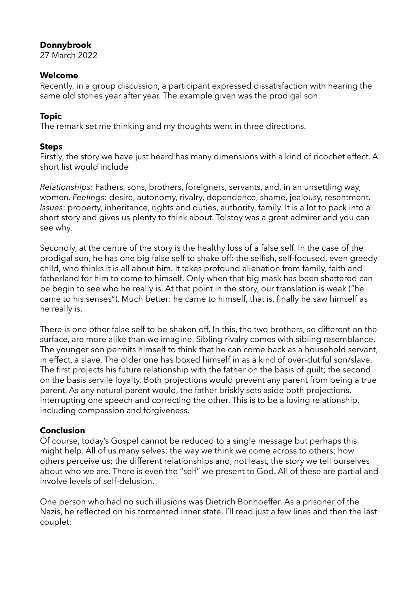### **Donnybrook**

27 March 2022

#### **Welcome**

Recently, in a group discussion, a participant expressed dissatisfaction with hearing the same old stories year after year. The example given was the prodigal son.

# **Topic**

The remark set me thinking and my thoughts went in three directions.

### **Steps**

Firstly, the story we have just heard has many dimensions with a kind of ricochet effect. A short list would include

*Relationships*: Fathers, sons, brothers, foreigners, servants, and, in an unsettling way, women. *Feelings*: desire, autonomy, rivalry, dependence, shame, jealousy, resentment. *Issues*: property, inheritance, rights and duties, authority, family. It is a lot to pack into a short story and gives us plenty to think about. Tolstoy was a great admirer and you can see why.

Secondly, at the centre of the story is the healthy loss of a false self. In the case of the prodigal son, he has one big false self to shake off: the selfish, self-focused, even greedy child, who thinks it is all about him. It takes profound alienation from family, faith and fatherland for him to come to himself. Only when that big mask has been shattered can be begin to see who he really is. At that point in the story, our translation is weak ("he came to his senses"). Much better: he came to himself, that is, finally he saw himself as he really is.

There is one other false self to be shaken off. In this, the two brothers, so different on the surface, are more alike than we imagine. Sibling rivalry comes with sibling resemblance. The younger son permits himself to think that he can come back as a household servant, in effect, a slave. The older one has boxed himself in as a kind of over-dutiful son/slave. The first projects his future relationship with the father on the basis of guilt; the second on the basis servile loyalty. Both projections would prevent any parent from being a true parent. As any natural parent would, the father briskly sets aside both projections, interrupting one speech and correcting the other. This is to be a loving relationship, including compassion and forgiveness.

# **Conclusion**

Of course, today's Gospel cannot be reduced to a single message but perhaps this might help. All of us many selves: the way we think we come across to others; how others perceive us; the different relationships and, not least, the story we tell ourselves about who we are. There is even the "self" we present to God. All of these are partial and involve levels of self-delusion.

One person who had no such illusions was Dietrich Bonhoeffer. As a prisoner of the Nazis, he reflected on his tormented inner state. I'll read just a few lines and then the last couplet: